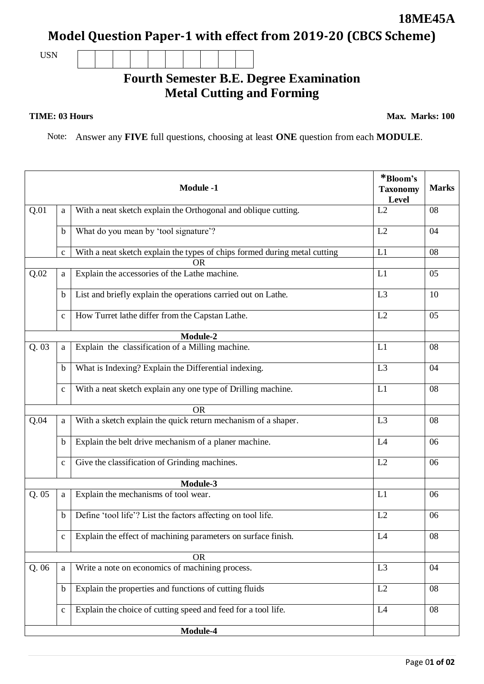Page 0**1 of 02**

**Model Question Paper-1 with effect from 2019-20 (CBCS Scheme)**

USN

## **Fourth Semester B.E. Degree Examination Metal Cutting and Forming**

## **TIME: 03 Hours**

**Max. Marks: 100**

Note: Answer any **FIVE** full questions, choosing at least **ONE** question from each **MODULE**.

|          |              | <b>Module -1</b>                                                                       | *Bloom's<br><b>Taxonomy</b><br>Level | <b>Marks</b> |  |  |
|----------|--------------|----------------------------------------------------------------------------------------|--------------------------------------|--------------|--|--|
| Q.01     | a            | With a neat sketch explain the Orthogonal and oblique cutting.                         | L2                                   | 08           |  |  |
|          | $\mathbf b$  | What do you mean by 'tool signature'?                                                  | L2                                   | 04           |  |  |
|          | $\mathbf{C}$ | With a neat sketch explain the types of chips formed during metal cutting<br><b>OR</b> | L1                                   | 08           |  |  |
| Q.02     | a            | Explain the accessories of the Lathe machine.                                          | L1                                   | 05           |  |  |
|          | $\mathbf b$  | List and briefly explain the operations carried out on Lathe.                          | L <sub>3</sub>                       | 10           |  |  |
|          | $\mathbf{C}$ | How Turret lathe differ from the Capstan Lathe.                                        | L2                                   | 05           |  |  |
|          |              | Module-2                                                                               |                                      |              |  |  |
| Q.03     | a            | Explain the classification of a Milling machine.                                       | L1                                   | 08           |  |  |
|          | $\mathbf b$  | What is Indexing? Explain the Differential indexing.                                   | L3                                   | 04           |  |  |
|          | $\mathbf C$  | With a neat sketch explain any one type of Drilling machine.                           | L1                                   | 08           |  |  |
|          |              | <b>OR</b>                                                                              |                                      |              |  |  |
| Q.04     | a            | With a sketch explain the quick return mechanism of a shaper.                          | L <sub>3</sub>                       | 08           |  |  |
|          | b            | Explain the belt drive mechanism of a planer machine.                                  | L4                                   | 06           |  |  |
|          | $\mathbf{C}$ | Give the classification of Grinding machines.                                          | L2                                   | 06           |  |  |
| Module-3 |              |                                                                                        |                                      |              |  |  |
| Q.05     | a            | Explain the mechanisms of tool wear.                                                   | L1                                   | 06           |  |  |
|          | b            | Define 'tool life'? List the factors affecting on tool life.                           | L2                                   | 06           |  |  |
|          | $\mathbf c$  | Explain the effect of machining parameters on surface finish.                          | L <sub>4</sub>                       | 08           |  |  |
|          |              | <b>OR</b>                                                                              |                                      |              |  |  |
| Q. 06    | a            | Write a note on economics of machining process.                                        | L <sub>3</sub>                       | 04           |  |  |
|          | $\mathbf b$  | Explain the properties and functions of cutting fluids                                 | L2                                   | 08           |  |  |
|          | $\mathbf{C}$ | Explain the choice of cutting speed and feed for a tool life.                          | L4                                   | 08           |  |  |
|          |              |                                                                                        |                                      |              |  |  |